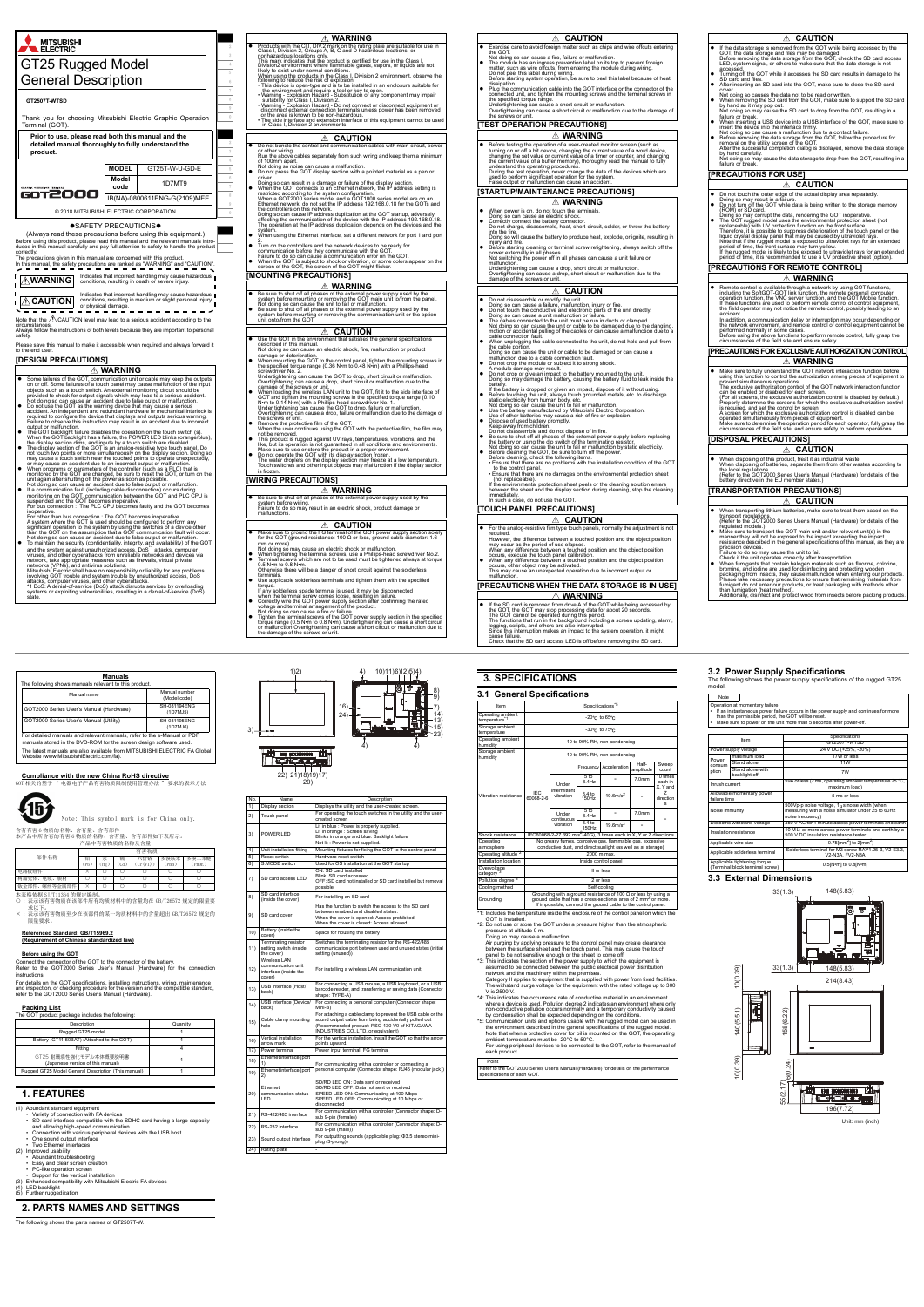

**Before using the GOT**<br>Connect the connector of the GOT to the connector of the battery.<br>Refer to the GOT2000 Series User's Manual (Hardware) for the connection instructions.

- (1) Abundant standard equipment Variety of connection with FA devices
- SD card interface compatible with the SDHC card having a large capacity
- and allowing high-speed communication<br>• Connection with various peripheral devices with the USB host<br>• One sound output interface<br>• Two Ethernet interfaces
- 
- 
- 
- (2) Improved usability Abundant troubleshooting
- 
- 
- 
- Easy and clear screen creation<br>• PC-like operation screen<br>• Support for the vertical installation<br>(3) Enhanced compatibility with Mitsubishi Electric FA devices<br>(5) Further ruggedization<br>(5) Further ruggedization
- 

**The following shows the shows the supply specifications of the rugged GT25** model.

#### Note Operation at momentary failure<br>• If an instantaneous power failure occurs in the power supply and continues for more<br>• than the permissible period, the GOT will be reset.<br>• Make sure to power on the unit more than 5 second Item Specifications GT2507T-WTSD Power supply voltage 24 V DC (+25%, -20%) Power consum ption maximum load and 17W or less Stand alon Stand alone with Stand alone with the control of 7W backlight off the control of  $\sim$  7W Inrush current 59A or less (2 ms, operating ambient temperature 25 °C, maximum load) Allowable momentary power 5 ms or les

# **Compliance with the new China RoHS directive** GOT 相关的基于 " 电器电子产品有害物质限制使用管理办法 " 要求的表示方法



含有有害 6 物质的名称、含有量、含有部件 本产品中所含有的有害 6 物质的名称、含有量、含有部件如下表所示。 产品中有害物质的名称及含量

求以下。 × : 表示该有害物质至少在该部件的某一均质材料中的含量超出 GB/T26572 规定的

限量要求。

#### **Referenced Standard: GB/T15969.2 (Requirement of Chinese standardized law)**

For details on the GOT specifications, installing instructions, wiring, maintenance and inspection, or checking procedure for the version and the compatible standard, refer to the GOT2000 Series User's Manual (Hardware).

| Manuals<br>The following shows manuals relevant to this product.                                                                              |                               |
|-----------------------------------------------------------------------------------------------------------------------------------------------|-------------------------------|
| Manual name                                                                                                                                   | Manual number<br>(Model code) |
| GOT2000 Series User's Manual (Hardware)                                                                                                       | SH-081194ENG<br>(1D7MJ5)      |
| GOT2000 Series User's Manual (Utility)                                                                                                        | SH-081195ENG<br>(1D7MJ6)      |
| For detailed manuals and relevant manuals, refer to the e-Manual or PDF<br>manuals stored in the DVD-ROM for the screen design software used. |                               |
| The latest manuals are also available from MITSUBISHI ELECTRIC FA Global<br>Website (www.MitsubishiElectric.com/fa).                          |                               |

#### **Packing List**

The GOT product package includes the following:

#### **1. FEATURES**

## **2. PARTS NAMES AND SETTINGS**

The following shows the parts names of GT2507T-W.

- 
- The withstand surge voltage for the equipment with the rated voltage up to 300<br>V is 2500 V.<br>This indicates the occurrence rate of conductive material in an environment<br>4: This indicates the occurrence rate of conductive ma
- <sup>4</sup>5: Communication units and options usable with the rugged model can be used in<br>the environment described in the general specifications of the rugged model.<br>Note that when a protective cover for oil is mounted on the GO

Note: This symbol mark is for China only.

|                    |    |                 |     | 有害物质   |      |        |
|--------------------|----|-----------------|-----|--------|------|--------|
| 部件名称               | 铅  | 汞               | 镉   | 六价铬    | 多溴联苯 | 多溴二苯醚  |
|                    | Pb | Hg <sup>2</sup> | Cd. | Cr(VI) | PBB. | (PBDE) |
| 电路板组件              |    |                 |     |        |      |        |
| 电缆、<br>膜材<br>树脂壳体、 |    |                 |     |        |      |        |
| 螺丝等金属部件<br>钣金部件    |    |                 |     |        |      |        |

本表格依据 SJ/T11364 的规定编制。<br>〇 : 表示该有害物质在该部件所有均质材料中的含量均在 GB/T26572 规定的限量要

| Description                                                | Quantity |
|------------------------------------------------------------|----------|
| Rugged GT25 model                                          |          |
| Battery (GT11-50BAT) (Attached to the GOT)                 |          |
| Fitting                                                    |          |
| GT25 耐環境性強化モデル本体概要説明書<br>(Japanese version of this manual) |          |
| Rugged GT25 Model General Description (This manual)        |          |

| No. | Name                                                                         | Description                                                                                                                                                                                                 |
|-----|------------------------------------------------------------------------------|-------------------------------------------------------------------------------------------------------------------------------------------------------------------------------------------------------------|
| 1)  | Display section                                                              | Displays the utility and the user-created screen.                                                                                                                                                           |
| 2)  | Touch panel                                                                  | For operating the touch switches in the utility and the user-<br>created screen                                                                                                                             |
| 3)  | POWER I FD                                                                   | Lit in blue : Power is properly supplied.<br>Lit in orange : Screen saving<br>Blinks in orange and blue: Backlight failure<br>Not lit : Power is not supplied.                                              |
| 4)  | Unit installation fitting                                                    | Mounting fixtures for fixing the GOT to the control panel                                                                                                                                                   |
| 5)  | Reset switch                                                                 | Hardware reset switch                                                                                                                                                                                       |
| 6)  | S.MODE switch                                                                | Used for OS installation at the GOT startup                                                                                                                                                                 |
| 7)  | SD card access LED                                                           | ON: SD card installed<br>Blink: SD card accessed<br>OFF: SD card not installed or SD card installed but removal<br>possible                                                                                 |
| 8)  | SD card interface<br>(inside the cover)                                      | For installing an SD card                                                                                                                                                                                   |
| 9)  | SD card cover                                                                | Has the function to switch the access to the SD card<br>between enabled and disabled states.<br>When the cover is opened: Access prohibited<br>When the cover is closed: Access allowed                     |
| 10) | Battery (inside the<br>cover)                                                | Space for housing the battery                                                                                                                                                                               |
| 11) | Terminating resistor<br>setting switch (inside<br>the cover)                 | Switches the terminating resistor for the RS-422/485<br>communication port between used and unused states (initial<br>setting (unused))                                                                     |
| 12) | <b>Wireless LAN</b><br>communication unit<br>interface (inside the<br>cover) | For installing a wireless LAN communication unit                                                                                                                                                            |
| 13) | USB interface (Host/<br>back)                                                | For connecting a USB mouse, a USB keyboard, or a USB<br>barcode reader, and transferring or saving data (Connector<br>shape: TYPE-A)                                                                        |
| 14) | USB interface (Device/<br>back)                                              | For connecting a personal computer (Connector shape:<br>Mini-B)                                                                                                                                             |
| 15) | Cable clamp mounting<br>hole                                                 | For attaching a cable clamp to prevent the USB cable or the<br>sound output cable from being accidentally pulled out<br>(Recommended product: RSG-130-V0 of KITAGAWA<br>INDUSTRIES CO., LTD. or equivalent) |
| 16) | Vertical installation<br>arrow mark                                          | For the vertical installation, install the GOT so that the arrow<br>points upward.                                                                                                                          |
| 17) | Power terminal                                                               | Power input terminal, FG terminal                                                                                                                                                                           |
| 18) | Ethernet interface (port<br>1)                                               | For communicating with a controller or connecting a                                                                                                                                                         |
| 19) | Ethernet interface (port<br>2)                                               | personal computer (Connector shape: RJ45 (modular jack))                                                                                                                                                    |
| 20) | <b>Fthernet</b><br>communication status<br>LED                               | SD/RD LED ON: Data sent or received<br>SD/RD LED OFF: Data not sent or received<br>SPEED LED ON: Communicating at 100 Mbps<br>SPEED LED OFF: Communicating at 10 Mbps or<br>disconnected                    |
| 21) | RS-422/485 interface                                                         | For communication with a controller (Connector shape: D-<br>sub 9-pin (female))                                                                                                                             |
| 22) | RS-232 interface                                                             | For communication with a controller (Connector shape: D-<br>sub 9-pin (male))                                                                                                                               |
| 23) | Sound output interface                                                       | For outputting sounds (applicable plug: $\Phi$ 3.5 stereo mini-<br>plug (3-prong))                                                                                                                          |
| 24) | Rating plate                                                                 |                                                                                                                                                                                                             |



# **3. SPECIFICATIONS**

Air purging by applying pressure to the control panel may create clearance

between the surface sheet and the touch panel. This may cause the touch<br>panel to be not sensitive enough or the sheet to come off.<br>"3: This indicates the section of the power supply to which the equipment is<br>"3: This indic

network and the machinery within the premises. Category II applies to equipment that is supplied with power from fixed facilities.

# **3.2 Power Supply Specifications**<br>The following shows the power supply specifications

| Item                                  |                                                                                                                                                                                                                      | Specifications <sup>*5</sup>       |                                    |                              |                    |                                          |
|---------------------------------------|----------------------------------------------------------------------------------------------------------------------------------------------------------------------------------------------------------------------|------------------------------------|------------------------------------|------------------------------|--------------------|------------------------------------------|
| Operating ambient<br>temperature*1    |                                                                                                                                                                                                                      |                                    | $-20^{\circ}$ c to 65 $^{\circ}$ c |                              |                    |                                          |
| Storage ambient<br>temperature        |                                                                                                                                                                                                                      |                                    | -30°C to 75°C                      |                              |                    |                                          |
| Operating ambient<br>humidity         |                                                                                                                                                                                                                      |                                    |                                    | 10 to 90% RH, non-condensing |                    |                                          |
| Storage ambient<br>humidity           |                                                                                                                                                                                                                      |                                    |                                    | 10 to 90% RH, non-condensing |                    |                                          |
|                                       |                                                                                                                                                                                                                      |                                    | Frequency                          | Acceleration                 | Half-<br>amplitude | Sweep<br>count                           |
|                                       | IFC<br>60068-2-6                                                                                                                                                                                                     | Under<br>intermittent<br>vibration | 5 <sub>to</sub><br>8.4Hz           |                              | 7.0 <sub>mm</sub>  | 10 times<br>each in                      |
| Vibration resistance                  |                                                                                                                                                                                                                      |                                    | 8.4 to<br>150Hz                    | $19.6$ m/s <sup>2</sup>      |                    | X. Y and<br>7<br>direction<br>$\epsilon$ |
|                                       |                                                                                                                                                                                                                      | Under<br>continuous<br>vibration   | 5 <sub>to</sub><br>8.4Hz           |                              | 7.0 <sub>mm</sub>  |                                          |
|                                       |                                                                                                                                                                                                                      |                                    | 8.4 to<br>150Hz                    | $19.6$ m/s <sup>2</sup>      |                    |                                          |
| Shock resistance                      | IEC60068-2-27 392 m/s <sup>2</sup> (40G), 3 times each in X, Y or Z directions                                                                                                                                       |                                    |                                    |                              |                    |                                          |
| Operating<br>atmosphere               | No greasy fumes, corrosive gas, flammable gas, excessive<br>conductive dust, and direct sunlight (as well as at storage)                                                                                             |                                    |                                    |                              |                    |                                          |
| Operating altitude <sup>*2</sup>      | 2000 m max.                                                                                                                                                                                                          |                                    |                                    |                              |                    |                                          |
| Installation location                 | Inside control panel                                                                                                                                                                                                 |                                    |                                    |                              |                    |                                          |
| Overvoltage<br>category <sup>*3</sup> | II or less                                                                                                                                                                                                           |                                    |                                    |                              |                    |                                          |
| Pollution degree <sup>*4</sup>        | 2 or less                                                                                                                                                                                                            |                                    |                                    |                              |                    |                                          |
| Cooling method                        | Self-cooling                                                                                                                                                                                                         |                                    |                                    |                              |                    |                                          |
| Grounding                             | Grounding with a ground resistance of 100 $\Omega$ or less by using a<br>ground cable that has a cross-sectional area of 2 mm <sup>2</sup> or more.<br>If impossible, connect the ground cable to the control panel. |                                    |                                    |                              |                    |                                          |

failure.<br>that the SD card access LED is off before removing the SD card

# \*1: Includes the temperature inside the enclosure of the control panel on which the<br>\*2: OOT is installed.<br>\*2: Do not use or store the GOT under a pressure higher than the atmospheric<br>pressure at altitude 0 m.<br>Doing so may

| Point |                                                                                     |
|-------|-------------------------------------------------------------------------------------|
|       | Refer to the GOT2000 Series User's Manual (Hardware) for details on the performance |
|       | specifications of each GOT.                                                         |

### **3.3 External Dimensions**

| Noise immunity                                                  | 500Vp-p noise voltage, $1\mu$ s noise width (when<br>measuring with a noise simulator under 25 to 60Hz<br>noise frequency) |
|-----------------------------------------------------------------|----------------------------------------------------------------------------------------------------------------------------|
| Dielectric withstand voltage                                    | 350 V AC for 1 minute across power terminals and earth                                                                     |
| Insulation resistance                                           | 10 $M\Omega$ or more across power terminals and earth by a<br>500 V DC insulation resistance tester                        |
| Applicable wire size                                            | $0.75$ [mm <sup>2</sup> ] to 2[mm <sup>2</sup> ]                                                                           |
| Applicable solderless terminal                                  | Solderless terminal for M3 screw RAV1.25-3, V2-S3.3.<br>V2-N3A. FV2-N3A                                                    |
| Applicable tightening torque<br>(Terminal block terminal screw) | $0.5$ [N $\cdot$ m] to $0.8$ [N $\cdot$ m]                                                                                 |
|                                                                 |                                                                                                                            |